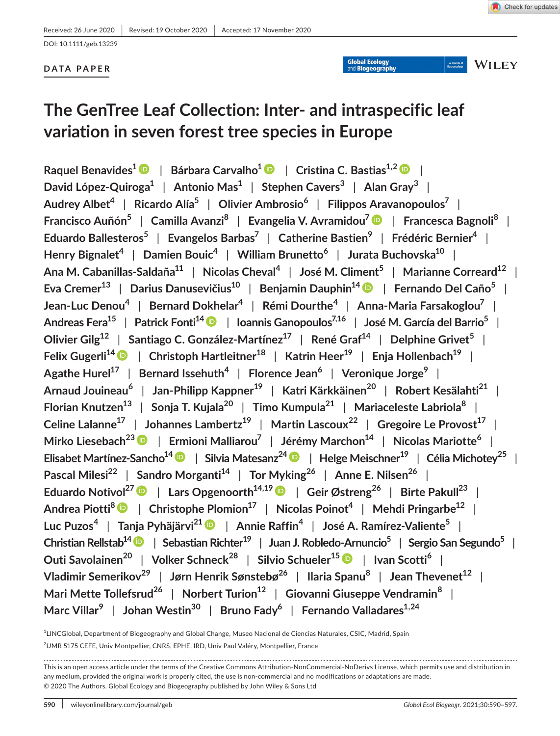Global Ecology

A Journal of<br>Macroecology

**WILEY** 

DOI: 10.1111/geb.13239

# **DATA PAPER**

# **The GenTree Leaf Collection: Inter- and intraspecific leaf variation in seven forest tree species in Europe**

**Raquel Benavides[1](https://orcid.org/0000-0003-2328-5371)** | **Bárbara Carvalho1** | **Cristina C. Bastias1,2** | **David López-Quiroga1** | **Antonio Mas1** | **Stephen Cavers<sup>3</sup>** | **Alan Gray<sup>3</sup>** | **Audrey Albet4** | **Ricardo Alía5** | **Olivier Ambrosio<sup>6</sup>** | **Filippos Aravanopoulos7** | **Francisco Auñón5** | **Camilla Avanzi<sup>8</sup>** | **Evangelia V. Avramidou[7](https://orcid.org/0000-0002-5932-1189)** | **Francesca Bagnoli<sup>8</sup>** | **Eduardo Ballesteros5** | **Evangelos Barbas7** | **Catherine Bastien9** | **Frédéric Bernier4** | **Henry Bignalet4** | **Damien Bouic4** | **William Brunetto<sup>6</sup>** | **Jurata Buchovska10** | **Ana M. Cabanillas-Saldaña11** | **Nicolas Cheval<sup>4</sup>** | **José M. Climent<sup>5</sup>** | **Marianne Correard12** | **Eva Cremer13** | **Darius Danusevičius<sup>10</sup>** | **Benjamin Dauphin1[4](https://orcid.org/0000-0003-0982-4252)** | **Fernando Del Caño5** | **Jean-Luc Denou<sup>4</sup>** | **Bernard Dokhelar4** | **Rémi Dourthe<sup>4</sup>** | **Anna-Maria Farsakoglou7** | **Andreas Fera15** | **Patrick Fonti1[4](https://orcid.org/0000-0002-7070-3292)** | **Ioannis Ganopoulos7,16** | **José M. García del Barrio5** | **Olivier Gilg12** | **Santiago C. González-Martínez17** | **René Graf14** | **Delphine Grivet<sup>5</sup>** | **Felix Gugerli1[4](https://orcid.org/0000-0003-3878-1845)** | **Christoph Hartleitner18** | **Katrin Heer19** | **Enja Hollenbach19** | **Agathe Hurel17** | **Bernard Issehuth<sup>4</sup>** | **Florence Jean<sup>6</sup>** | **Veronique Jorge9** | **Arnaud Jouineau<sup>6</sup>** | **Jan-Philipp Kappner19** | **Katri Kärkkäinen20** | **Robert Kesälahti21** | **Florian Knutzen13** | **Sonja T. Kujala20** | **Timo Kumpula21** | **Mariaceleste Labriola<sup>8</sup>** | **Celine Lalanne17** | **Johannes Lambertz19** | **Martin Lascoux<sup>22</sup>** | **Gregoire Le Provost17** | **Mirko Liesebach23** | **Ermioni Malliarou7** | **Jérémy Marchon14** | **Nicolas Mariotte<sup>6</sup>** | **Elisabet Martínez-Sancho14** | **Silvia Matesanz2[4](https://orcid.org/0000-0003-0060-6136)** | **Helge Meischner19** | **Célia Michotey25** | **Pascal Milesi<sup>22</sup> | Sandro Morganti<sup>14</sup> | Tor Myking<sup>26</sup> | Anne E. Nilsen<sup>26</sup> | Eduardo Notivol27** | **Lars Opgenoorth14,1[9](https://orcid.org/0000-0003-0737-047X)** | **Geir Østreng<sup>26</sup>** | **Birte Pakull23** | **Andrea Piotti[8](https://orcid.org/0000-0002-3324-5325)** | **Christophe Plomion17** | **Nicolas Poinot4** | **Mehdi Pringarbe12** | **Luc Puzos<sup>4</sup>** | **Tanja Pyhäjärvi21** | **Annie Raffin<sup>4</sup>** | **José A. Ramírez-Valiente5** | **Christian Rellstab1[4](https://orcid.org/0000-0002-0221-5975)** | **Sebastian Richter19** | **Juan J. Robledo-Arnuncio5** | **Sergio San Segundo5** | **Outi Savolainen20** | **Volker Schneck<sup>28</sup>** | **Silvio Schueler15** | **Ivan Scotti<sup>6</sup>** | **Vladimir Semerikov<sup>29</sup>** | **Jørn Henrik Sønstebø<sup>26</sup>** | **Ilaria Spanu<sup>8</sup>** | **Jean Thevenet12** | **Mari Mette Tollefsrud26** | **Norbert Turion12** | **Giovanni Giuseppe Vendramin<sup>8</sup>** | **Marc Villar<sup>9</sup>** | **Johan Westin30** | **Bruno Fady6** | **Fernando Valladares1,24**

<sup>1</sup>LINCGlobal, Department of Biogeography and Global Change, Museo Nacional de Ciencias Naturales, CSIC, Madrid, Spain <sup>2</sup>UMR 5175 CEFE, Univ Montpellier, CNRS, EPHE, IRD, Univ Paul Valéry, Montpellier, France

This is an open access article under the terms of the [Creative Commons Attribution-NonCommercial-NoDerivs](http://creativecommons.org/licenses/by-nc-nd/4.0/) License, which permits use and distribution in any medium, provided the original work is properly cited, the use is non-commercial and no modifications or adaptations are made. © 2020 The Authors. Global Ecology and Biogeography published by John Wiley & Sons Ltd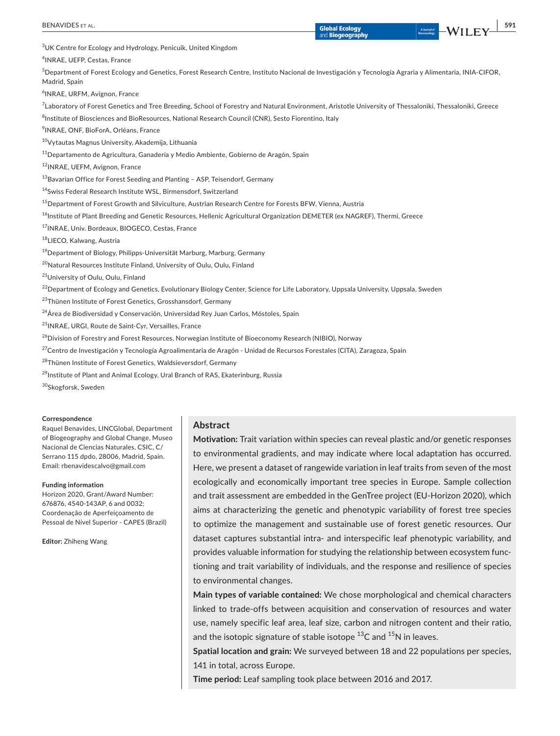| BENAVIDES ET AL.                                                                                                                                                                 | <b>Global Ecology</b>   | WILEY<br>A Journal of<br>Macroecology | 591 |
|----------------------------------------------------------------------------------------------------------------------------------------------------------------------------------|-------------------------|---------------------------------------|-----|
|                                                                                                                                                                                  | and <b>Biogeography</b> |                                       |     |
| <sup>3</sup> UK Centre for Ecology and Hydrology, Penicuik, United Kingdom                                                                                                       |                         |                                       |     |
| <sup>4</sup> INRAE, UEFP, Cestas, France                                                                                                                                         |                         |                                       |     |
| ${}^{5}$ Department of Forest Ecology and Genetics, Forest Research Centre, Instituto Nacional de Investigación y Tecnología Agraria y Alimentaria, INIA-CIFOR,<br>Madrid, Spain |                         |                                       |     |
| <sup>6</sup> INRAE, URFM, Avignon, France                                                                                                                                        |                         |                                       |     |
| <sup>7</sup> Laboratory of Forest Genetics and Tree Breeding, School of Forestry and Natural Environment, Aristotle University of Thessaloniki, Thessaloniki, Greece             |                         |                                       |     |
| <sup>8</sup> Institute of Biosciences and BioResources, National Research Council (CNR), Sesto Fiorentino, Italy                                                                 |                         |                                       |     |
| <sup>9</sup> INRAE, ONF, BioForA, Orléans, France                                                                                                                                |                         |                                       |     |
| <sup>10</sup> Vytautas Magnus University, Akademija, Lithuania                                                                                                                   |                         |                                       |     |
| <sup>11</sup> Departamento de Agricultura, Ganadería y Medio Ambiente, Gobierno de Aragón, Spain                                                                                 |                         |                                       |     |
| <sup>12</sup> INRAE, UEFM, Avignon, France                                                                                                                                       |                         |                                       |     |
| <sup>13</sup> Bavarian Office for Forest Seeding and Planting - ASP, Teisendorf, Germany                                                                                         |                         |                                       |     |
| <sup>14</sup> Swiss Federal Research Institute WSL, Birmensdorf, Switzerland                                                                                                     |                         |                                       |     |
| <sup>15</sup> Department of Forest Growth and Silviculture, Austrian Research Centre for Forests BFW, Vienna, Austria                                                            |                         |                                       |     |
| <sup>16</sup> Institute of Plant Breeding and Genetic Resources, Hellenic Agricultural Organization DEMETER (ex NAGREF), Thermi, Greece                                          |                         |                                       |     |
| <sup>17</sup> INRAE, Univ. Bordeaux, BIOGECO, Cestas, France                                                                                                                     |                         |                                       |     |
| <sup>18</sup> LIECO, Kalwang, Austria                                                                                                                                            |                         |                                       |     |
| <sup>19</sup> Department of Biology, Philipps-Universität Marburg, Marburg, Germany                                                                                              |                         |                                       |     |
| <sup>20</sup> Natural Resources Institute Finland, University of Oulu, Oulu, Finland                                                                                             |                         |                                       |     |
| <sup>21</sup> University of Oulu, Oulu, Finland                                                                                                                                  |                         |                                       |     |
| <sup>22</sup> Department of Ecology and Genetics, Evolutionary Biology Center, Science for Life Laboratory, Uppsala University, Uppsala, Sweden                                  |                         |                                       |     |
| <sup>23</sup> Thünen Institute of Forest Genetics, Grosshansdorf, Germany                                                                                                        |                         |                                       |     |
| <sup>24</sup> Área de Biodiversidad y Conservación, Universidad Rey Juan Carlos, Móstoles, Spain                                                                                 |                         |                                       |     |
| <sup>25</sup> INRAE, URGI, Route de Saint-Cyr, Versailles, France                                                                                                                |                         |                                       |     |
| $^{26}$ Division of Forestry and Forest Resources, Norwegian Institute of Bioeconomy Research (NIBIO), Norway                                                                    |                         |                                       |     |
| <sup>27</sup> Centro de Investigación y Tecnología Agroalimentaria de Aragón - Unidad de Recursos Forestales (CITA), Zaragoza, Spain                                             |                         |                                       |     |
| <sup>28</sup> Thünen Institute of Forest Genetics, Waldsieversdorf, Germany                                                                                                      |                         |                                       |     |
| <sup>29</sup> Institute of Plant and Animal Ecology, Ural Branch of RAS, Ekaterinburg, Russia                                                                                    |                         |                                       |     |
|                                                                                                                                                                                  |                         |                                       |     |

<sup>30</sup>Skogforsk, Sweden

#### **Correspondence**

Raquel Benavides, LINCGlobal, Department of Biogeography and Global Change, Museo Nacional de Ciencias Naturales, CSIC, C/ Serrano 115 dpdo, 28006, Madrid, Spain. Email: [rbenavidescalvo@gmail.com](mailto:rbenavidescalvo@gmail.com)

#### **Funding information**

Horizon 2020, Grant/Award Number: 676876, 4540-143AP, 6 and 0032; Coordenação de Aperfeiçoamento de Pessoal de Nível Superior - CAPES (Brazil)

**Editor:** Zhiheng Wang

# **Abstract**

**Motivation:** Trait variation within species can reveal plastic and/or genetic responses to environmental gradients, and may indicate where local adaptation has occurred. Here, we present a dataset of rangewide variation in leaf traits from seven of the most ecologically and economically important tree species in Europe. Sample collection and trait assessment are embedded in the GenTree project (EU-Horizon 2020), which aims at characterizing the genetic and phenotypic variability of forest tree species to optimize the management and sustainable use of forest genetic resources. Our dataset captures substantial intra- and interspecific leaf phenotypic variability, and provides valuable information for studying the relationship between ecosystem functioning and trait variability of individuals, and the response and resilience of species to environmental changes.

**Main types of variable contained:** We chose morphological and chemical characters linked to trade-offs between acquisition and conservation of resources and water use, namely specific leaf area, leaf size, carbon and nitrogen content and their ratio, and the isotopic signature of stable isotope  $^{13}$ C and  $^{15}$ N in leaves.

**Spatial location and grain:** We surveyed between 18 and 22 populations per species, 141 in total, across Europe.

**Time period:** Leaf sampling took place between 2016 and 2017.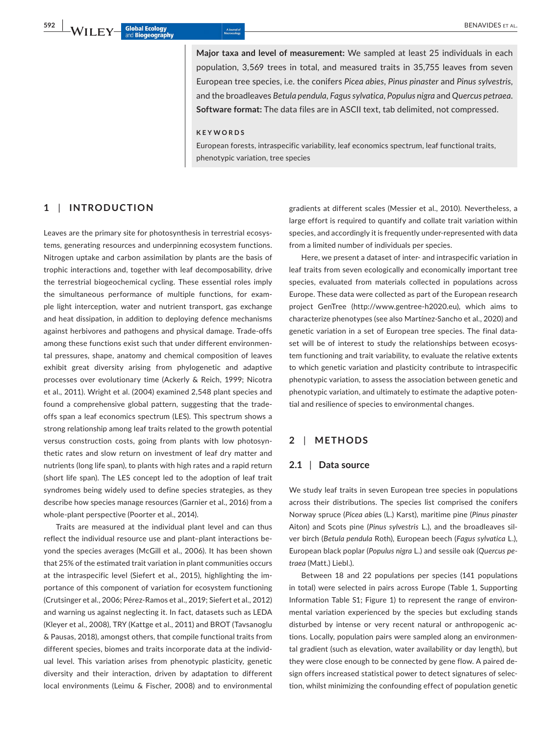**Major taxa and level of measurement:** We sampled at least 25 individuals in each population, 3,569 trees in total, and measured traits in 35,755 leaves from seven European tree species, i.e. the conifers *Picea abies*, *Pinus pinaster* and *Pinus sylvestris*, and the broadleaves *Betula pendula*, *Fagus sylvatica*, *Populus nigra* and *Quercus petraea*. **Software format:** The data files are in ASCII text, tab delimited, not compressed.

#### **KEYWORDS**

European forests, intraspecific variability, leaf economics spectrum, leaf functional traits, phenotypic variation, tree species

# **1** | **INTRODUCTION**

Leaves are the primary site for photosynthesis in terrestrial ecosystems, generating resources and underpinning ecosystem functions. Nitrogen uptake and carbon assimilation by plants are the basis of trophic interactions and, together with leaf decomposability, drive the terrestrial biogeochemical cycling. These essential roles imply the simultaneous performance of multiple functions, for example light interception, water and nutrient transport, gas exchange and heat dissipation, in addition to deploying defence mechanisms against herbivores and pathogens and physical damage. Trade-offs among these functions exist such that under different environmental pressures, shape, anatomy and chemical composition of leaves exhibit great diversity arising from phylogenetic and adaptive processes over evolutionary time (Ackerly & Reich, 1999; Nicotra et al., 2011). Wright et al. (2004) examined 2,548 plant species and found a comprehensive global pattern, suggesting that the tradeoffs span a leaf economics spectrum (LES). This spectrum shows a strong relationship among leaf traits related to the growth potential versus construction costs, going from plants with low photosynthetic rates and slow return on investment of leaf dry matter and nutrients (long life span), to plants with high rates and a rapid return (short life span). The LES concept led to the adoption of leaf trait syndromes being widely used to define species strategies, as they describe how species manage resources (Garnier et al., 2016) from a whole-plant perspective (Poorter et al., 2014).

Traits are measured at the individual plant level and can thus reflect the individual resource use and plant–plant interactions beyond the species averages (McGill et al., 2006). It has been shown that 25% of the estimated trait variation in plant communities occurs at the intraspecific level (Siefert et al., 2015), highlighting the importance of this component of variation for ecosystem functioning (Crutsinger et al., 2006; Pérez-Ramos et al., 2019; Siefert et al., 2012) and warning us against neglecting it. In fact, datasets such as LEDA (Kleyer et al., 2008), TRY (Kattge et al., 2011) and BROT (Tavsanoglu & Pausas, 2018), amongst others, that compile functional traits from different species, biomes and traits incorporate data at the individual level. This variation arises from phenotypic plasticity, genetic diversity and their interaction, driven by adaptation to different local environments (Leimu & Fischer, 2008) and to environmental

gradients at different scales (Messier et al., 2010). Nevertheless, a large effort is required to quantify and collate trait variation within species, and accordingly it is frequently under-represented with data from a limited number of individuals per species.

Here, we present a dataset of inter- and intraspecific variation in leaf traits from seven ecologically and economically important tree species, evaluated from materials collected in populations across Europe. These data were collected as part of the European research project GenTree ([http://www.gentree-h2020.eu\)](http://www.gentree-h2020.eu), which aims to characterize phenotypes (see also Martínez-Sancho et al., 2020) and genetic variation in a set of European tree species. The final dataset will be of interest to study the relationships between ecosystem functioning and trait variability, to evaluate the relative extents to which genetic variation and plasticity contribute to intraspecific phenotypic variation, to assess the association between genetic and phenotypic variation, and ultimately to estimate the adaptive potential and resilience of species to environmental changes.

# **2** | **METHODS**

## **2.1** | **Data source**

We study leaf traits in seven European tree species in populations across their distributions. The species list comprised the conifers Norway spruce (*Picea abie*s (L.) Karst), maritime pine (*Pinus pinaster* Aiton) and Scots pine (*Pinus sylvestris* L.), and the broadleaves silver birch (*Betula pendula* Roth), European beech (*Fagus sylvatica* L.), European black poplar (*Populus nigra* L.) and sessile oak (*Quercus petraea* (Matt.) Liebl.).

Between 18 and 22 populations per species (141 populations in total) were selected in pairs across Europe (Table 1, Supporting Information Table S1; Figure 1) to represent the range of environmental variation experienced by the species but excluding stands disturbed by intense or very recent natural or anthropogenic actions. Locally, population pairs were sampled along an environmental gradient (such as elevation, water availability or day length), but they were close enough to be connected by gene flow. A paired design offers increased statistical power to detect signatures of selection, whilst minimizing the confounding effect of population genetic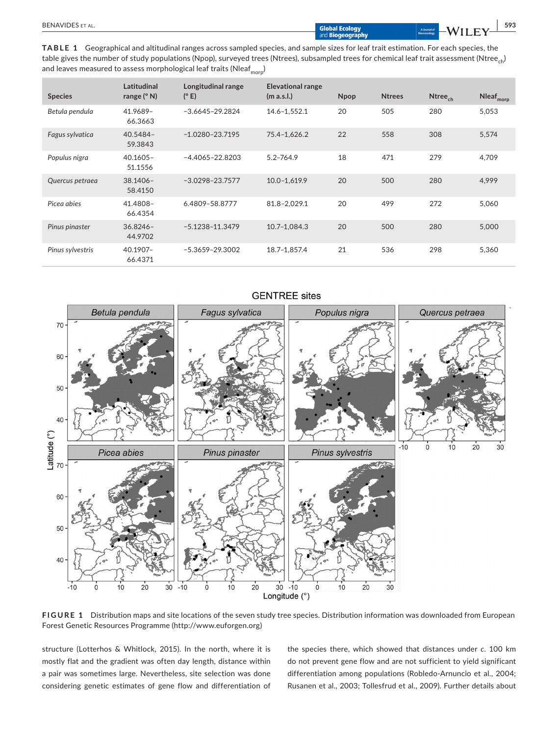| <b>BENAVIDES</b><br>AI |                                   |                         |      | 593 |
|------------------------|-----------------------------------|-------------------------|------|-----|
|                        | mal Ecology.<br>.<br>Biogeography | a journal (<br>lacroecq | W 74 |     |

**TABLE 1** Geographical and altitudinal ranges across sampled species, and sample sizes for leaf trait estimation. For each species, the table gives the number of study populations (Npop), surveyed trees (Ntrees), subsampled trees for chemical leaf trait assessment (Ntree<sub>ch</sub>) and leaves measured to assess morphological leaf traits (Nleaf $_{\rm{morp}}$ )

| <b>Species</b>   | Latitudinal<br>range $(° N)$ | Longitudinal range<br>(°E) | <b>Elevational range</b><br>(m a.s.l.) | <b>Npop</b> | <b>Ntrees</b> | Ntree <sub>ch</sub> | $Nleaf_{\text{morp}}$ |
|------------------|------------------------------|----------------------------|----------------------------------------|-------------|---------------|---------------------|-----------------------|
| Betula pendula   | 41.9689-<br>66.3663          | $-3.6645 - 29.2824$        | 14.6-1,552.1                           | 20          | 505           | 280                 | 5,053                 |
| Fagus sylvatica  | $40.5484 -$<br>59.3843       | $-1.0280 - 23.7195$        | 75.4-1,626.2                           | 22          | 558           | 308                 | 5,574                 |
| Populus nigra    | $40.1605 -$<br>51.1556       | $-4.4065 - 22.8203$        | $5.2 - 764.9$                          | 18          | 471           | 279                 | 4.709                 |
| Quercus petraea  | $38.1406 -$<br>58.4150       | $-3.0298 - 23.7577$        | $10.0 - 1,619.9$                       | 20          | 500           | 280                 | 4,999                 |
| Picea abies      | 41.4808-<br>66.4354          | 6.4809-58.8777             | 81.8-2.029.1                           | 20          | 499           | 272                 | 5,060                 |
| Pinus pinaster   | $36.8246 -$<br>44.9702       | $-5.1238 - 11.3479$        | 10.7-1.084.3                           | 20          | 500           | 280                 | 5,000                 |
| Pinus sylvestris | 40.1907-<br>66.4371          | $-5.3659 - 29.3002$        | 18.7-1,857.4                           | 21          | 536           | 298                 | 5,360                 |



# **GENTREE** sites

**FIGURE 1** Distribution maps and site locations of the seven study tree species. Distribution information was downloaded from European Forest Genetic Resources Programme ([http://www.euforgen.org\)](http://www.euforgen.org/)

structure (Lotterhos & Whitlock, 2015). In the north, where it is mostly flat and the gradient was often day length, distance within a pair was sometimes large. Nevertheless, site selection was done considering genetic estimates of gene flow and differentiation of the species there, which showed that distances under *c*. 100 km do not prevent gene flow and are not sufficient to yield significant differentiation among populations (Robledo-Arnuncio et al., 2004; Rusanen et al., 2003; Tollesfrud et al., 2009). Further details about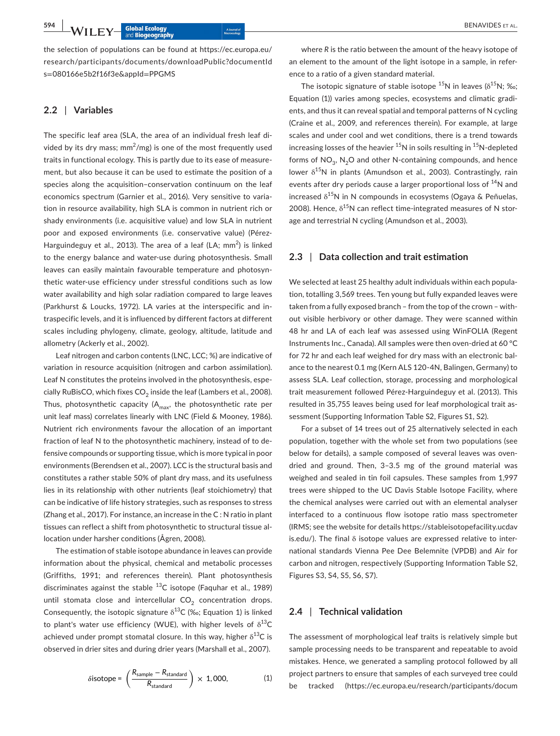**594 |**  BENAVIDES et al.

the selection of populations can be found at [https://ec.europa.eu/](https://ec.europa.eu/research/participants/documents/downloadPublic?documentIds=080166e5b2f16f3e&appId=PPGMS) [research/participants/documents/downloadPublic?documentId](https://ec.europa.eu/research/participants/documents/downloadPublic?documentIds=080166e5b2f16f3e&appId=PPGMS) s=[080166e5b2f16f3e&appId](https://ec.europa.eu/research/participants/documents/downloadPublic?documentIds=080166e5b2f16f3e&appId=PPGMS)=PPGMS

# **2.2** | **Variables**

The specific leaf area (SLA, the area of an individual fresh leaf divided by its dry mass;  $mm^2/mg$ ) is one of the most frequently used traits in functional ecology. This is partly due to its ease of measurement, but also because it can be used to estimate the position of a species along the acquisition–conservation continuum on the leaf economics spectrum (Garnier et al., 2016). Very sensitive to variation in resource availability, high SLA is common in nutrient rich or shady environments (i.e. acquisitive value) and low SLA in nutrient poor and exposed environments (i.e. conservative value) (Pérez-Harguindeguy et al., 2013). The area of a leaf (LA;  $mm<sup>2</sup>$ ) is linked to the energy balance and water-use during photosynthesis. Small leaves can easily maintain favourable temperature and photosynthetic water-use efficiency under stressful conditions such as low water availability and high solar radiation compared to large leaves (Parkhurst & Loucks, 1972). LA varies at the interspecific and intraspecific levels, and it is influenced by different factors at different scales including phylogeny, climate, geology, altitude, latitude and allometry (Ackerly et al., 2002).

Leaf nitrogen and carbon contents (LNC, LCC; %) are indicative of variation in resource acquisition (nitrogen and carbon assimilation). Leaf N constitutes the proteins involved in the photosynthesis, especially RuBisCO, which fixes  $CO<sub>2</sub>$  inside the leaf (Lambers et al., 2008). Thus, photosynthetic capacity  $(A<sub>max</sub>, the photosynthetic rate per$ unit leaf mass) correlates linearly with LNC (Field & Mooney, 1986). Nutrient rich environments favour the allocation of an important fraction of leaf N to the photosynthetic machinery, instead of to defensive compounds or supporting tissue, which is more typical in poor environments (Berendsen et al., 2007). LCC is the structural basis and constitutes a rather stable 50% of plant dry mass, and its usefulness lies in its relationship with other nutrients (leaf stoichiometry) that can be indicative of life history strategies, such as responses to stress (Zhang et al., 2017). For instance, an increase in the C : N ratio in plant tissues can reflect a shift from photosynthetic to structural tissue allocation under harsher conditions (Ågren, 2008).

The estimation of stable isotope abundance in leaves can provide information about the physical, chemical and metabolic processes (Griffiths, 1991; and references therein). Plant photosynthesis discriminates against the stable  $^{13}$ C isotope (Faquhar et al., 1989) until stomata close and intercellular  $CO<sub>2</sub>$  concentration drops. Consequently, the isotopic signature  $\delta^{13}$ C (‰; Equation 1) is linked to plant's water use efficiency (WUE), with higher levels of  $\delta^{13}C$ achieved under prompt stomatal closure. In this way, higher  $\delta^{13}C$  is observed in drier sites and during drier years (Marshall et al., 2007).

$$
\delta \text{isotope} = \left(\frac{R_{\text{sample}} - R_{\text{standard}}}{R_{\text{standard}}}\right) \times 1,000,\tag{1}
$$

where *R* is the ratio between the amount of the heavy isotope of an element to the amount of the light isotope in a sample, in reference to a ratio of a given standard material.

The isotopic signature of stable isotope  $^{15}N$  in leaves ( $\delta^{15}N$ ; ‰; Equation (1)) varies among species, ecosystems and climatic gradients, and thus it can reveal spatial and temporal patterns of N cycling (Craine et al., 2009, and references therein). For example, at large scales and under cool and wet conditions, there is a trend towards increasing losses of the heavier  $15N$  in soils resulting in  $15N$ -depleted forms of  $NO_3$ ,  $N_2O$  and other N-containing compounds, and hence lower  $\delta^{15}N$  in plants (Amundson et al., 2003). Contrastingly, rain events after dry periods cause a larger proportional loss of <sup>14</sup>N and increased  $\delta^{15}$ N in N compounds in ecosystems (Ogaya & Peñuelas, 2008). Hence,  $\delta^{15}$ N can reflect time-integrated measures of N storage and terrestrial N cycling (Amundson et al., 2003).

## **2.3** | **Data collection and trait estimation**

We selected at least 25 healthy adult individuals within each population, totalling 3,569 trees. Ten young but fully expanded leaves were taken from a fully exposed branch – from the top of the crown – without visible herbivory or other damage. They were scanned within 48 hr and LA of each leaf was assessed using WinFOLIA (Regent Instruments Inc., Canada). All samples were then oven-dried at 60 °C for 72 hr and each leaf weighed for dry mass with an electronic balance to the nearest 0.1 mg (Kern ALS 120-4N, Balingen, Germany) to assess SLA. Leaf collection, storage, processing and morphological trait measurement followed Pérez-Harguindeguy et al. (2013). This resulted in 35,755 leaves being used for leaf morphological trait assessment (Supporting Information Table S2, Figures S1, S2).

For a subset of 14 trees out of 25 alternatively selected in each population, together with the whole set from two populations (see below for details), a sample composed of several leaves was ovendried and ground. Then, 3–3.5 mg of the ground material was weighed and sealed in tin foil capsules. These samples from 1,997 trees were shipped to the UC Davis Stable Isotope Facility, where the chemical analyses were carried out with an elemental analyser interfaced to a continuous flow isotope ratio mass spectrometer (IRMS; see the website for details [https://stableisotopefacility.ucdav](https://stableisotopefacility.ucdavis.edu/) [is.edu/](https://stableisotopefacility.ucdavis.edu/)). The final δ isotope values are expressed relative to international standards Vienna Pee Dee Belemnite (VPDB) and Air for carbon and nitrogen, respectively (Supporting Information Table S2, Figures S3, S4, S5, S6, S7).

# **2.4** | **Technical validation**

The assessment of morphological leaf traits is relatively simple but sample processing needs to be transparent and repeatable to avoid mistakes. Hence, we generated a sampling protocol followed by all project partners to ensure that samples of each surveyed tree could be tracked [\(https://ec.europa.eu/research/participants/docum](https://ec.europa.eu/research/participants/documents/downloadPublic?documentIds=080166e5b2f16f3e&appId=PPGMS)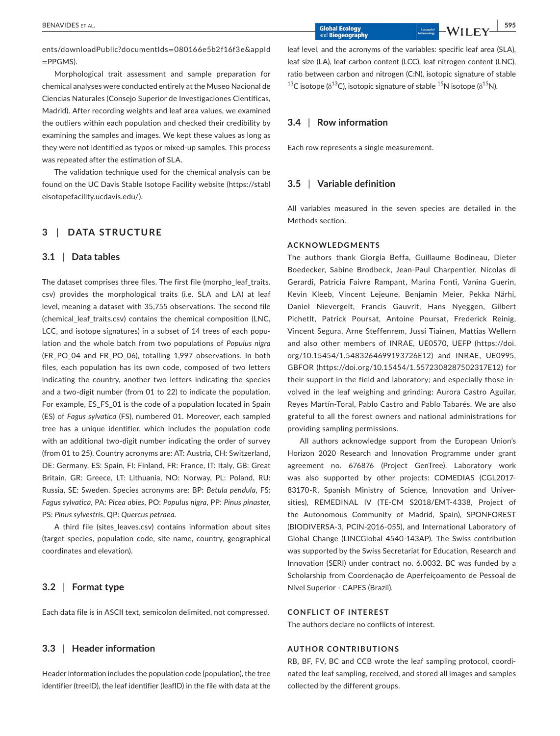[ents/downloadPublic?documentIds](https://ec.europa.eu/research/participants/documents/downloadPublic?documentIds=080166e5b2f16f3e&appId=PPGMS)=080166e5b2f16f3e&appId  $=$ [PPGMS](https://ec.europa.eu/research/participants/documents/downloadPublic?documentIds=080166e5b2f16f3e&appId=PPGMS)).

Morphological trait assessment and sample preparation for chemical analyses were conducted entirely at the Museo Nacional de Ciencias Naturales (Consejo Superior de Investigaciones Científicas, Madrid). After recording weights and leaf area values, we examined the outliers within each population and checked their credibility by examining the samples and images. We kept these values as long as they were not identified as typos or mixed-up samples. This process was repeated after the estimation of SLA.

The validation technique used for the chemical analysis can be found on the UC Davis Stable Isotope Facility website [\(https://stabl](https://stableisotopefacility.ucdavis.edu/) [eisotopefacility.ucdavis.edu/\)](https://stableisotopefacility.ucdavis.edu/).

# **3** | **DATA STRUCTURE**

#### **3.1** | **Data tables**

The dataset comprises three files. The first file (morpho\_leaf\_traits. csv) provides the morphological traits (i.e. SLA and LA) at leaf level, meaning a dataset with 35,755 observations. The second file (chemical leaf traits.csv) contains the chemical composition (LNC, LCC, and isotope signatures) in a subset of 14 trees of each population and the whole batch from two populations of *Populus nigra* (FR\_PO\_04 and FR\_PO\_06), totalling 1,997 observations. In both files, each population has its own code, composed of two letters indicating the country, another two letters indicating the species and a two-digit number (from 01 to 22) to indicate the population. For example, ES\_FS\_01 is the code of a population located in Spain (ES) of *Fagus sylvatica* (FS), numbered 01. Moreover, each sampled tree has a unique identifier, which includes the population code with an additional two-digit number indicating the order of survey (from 01 to 25). Country acronyms are: AT: Austria, CH: Switzerland, DE: Germany, ES: Spain, FI: Finland, FR: France, IT: Italy, GB: Great Britain, GR: Greece, LT: Lithuania, NO: Norway, PL: Poland, RU: Russia, SE: Sweden. Species acronyms are: BP: *Betula pendula*, FS: *Fagus sylvatica*, PA: *Picea abies*, PO: *Populus nigra*, PP: *Pinus pinaster*, PS: *Pinus sylvestris*, QP: *Quercus petraea*.

A third file (sites\_leaves.csv) contains information about sites (target species, population code, site name, country, geographical coordinates and elevation).

#### **3.2** | **Format type**

Each data file is in ASCII text, semicolon delimited, not compressed.

# **3.3** | **Header information**

Header information includes the population code (population), the tree identifier (treeID), the leaf identifier (leafID) in the file with data at the leaf level, and the acronyms of the variables: specific leaf area (SLA), leaf size (LA), leaf carbon content (LCC), leaf nitrogen content (LNC), ratio between carbon and nitrogen (C:N), isotopic signature of stable <sup>13</sup>C isotope ( $\delta^{13}$ C), isotopic signature of stable  $^{15}N$  isotope ( $\delta^{15}N$ ).

# **3.4** | **Row information**

Each row represents a single measurement.

# **3.5** | **Variable definition**

All variables measured in the seven species are detailed in the Methods section.

# **ACKNOWLEDGMENTS**

The authors thank Giorgia Beffa, Guillaume Bodineau, Dieter Boedecker, Sabine Brodbeck, Jean-Paul Charpentier, Nicolas di Gerardi, Patricia Faivre Rampant, Marina Fonti, Vanina Guerin, Kevin Kleeb, Vincent Lejeune, Benjamin Meier, Pekka Närhi, Daniel Nievergelt, Francis Gauvrit, Hans Nyeggen, Gilbert Pichetlt, Patrick Poursat, Antoine Poursat, Frederick Reinig, Vincent Segura, Arne Steffenrem, Jussi Tiainen, Mattias Wellern and also other members of INRAE, UE0570, UEFP [\(https://doi.](https://doi.org/10.15454/1.5483264699193726E12) [org/10.15454/1.5483264699193726E12\)](https://doi.org/10.15454/1.5483264699193726E12) and INRAE, UE0995, GBFOR ([https://doi.org/10.15454/1.5572308287502317E12\)](https://doi.org/10.15454/1.5572308287502317E12) for their support in the field and laboratory; and especially those involved in the leaf weighing and grinding: Aurora Castro Aguilar, Reyes Martín-Toral, Pablo Castro and Pablo Tabarés. We are also grateful to all the forest owners and national administrations for providing sampling permissions.

All authors acknowledge support from the European Union's Horizon 2020 Research and Innovation Programme under grant agreement no. 676876 (Project GenTree). Laboratory work was also supported by other projects: COMEDIAS (CGL2017- 83170-R, Spanish Ministry of Science, Innovation and Universities), REMEDINAL IV (TE-CM S2018/EMT-4338, Project of the Autonomous Community of Madrid, Spain), SPONFOREST (BIODIVERSA-3, PCIN-2016-055), and International Laboratory of Global Change (LINCGlobal 4540-143AP). The Swiss contribution was supported by the Swiss Secretariat for Education, Research and Innovation (SERI) under contract no. 6.0032. BC was funded by a Scholarship from Coordenação de Aperfeiçoamento de Pessoal de Nível Superior - CAPES (Brazil).

#### **CONFLICT OF INTEREST**

The authors declare no conflicts of interest.

# **AUTHOR CONTRIBUTIONS**

RB, BF, FV, BC and CCB wrote the leaf sampling protocol, coordinated the leaf sampling, received, and stored all images and samples collected by the different groups.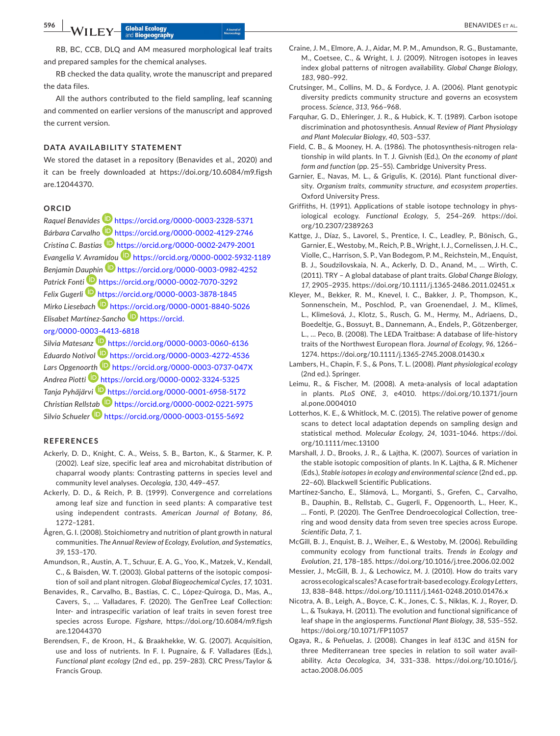RB, BC, CCB, DLQ and AM measured morphological leaf traits and prepared samples for the chemical analyses.

RB checked the data quality, wrote the manuscript and prepared the data files.

All the authors contributed to the field sampling, leaf scanning and commented on earlier versions of the manuscript and approved the current version.

# **DATA AVAILABILITY STATEMENT**

We stored the dataset in a repository (Benavides et al., 2020) and it can be freely downloaded at [https://doi.org/10.6084/m9.figsh](https://doi.org/10.6084/m9.figshare.12044370) [are.12044370.](https://doi.org/10.6084/m9.figshare.12044370)

# **ORCID**

*Raquel Benavide[s](https://orcid.org/0000-0003-2328-5371)* <https://orcid.org/0000-0003-2328-5371> *Bárbara Carvalho* <https://orcid.org/0000-0002-4129-2746> *Cristina C. Bastias* <https://orcid.org/0000-0002-2479-2001> *Evangelia V. Avra[midou](https://orcid.org/0000-0003-0982-4252)* <https://orcid.org/0000-0002-5932-1189> *Benjamin D[auphi](https://orcid.org/0000-0002-7070-3292)n* <https://orcid.org/0000-0003-0982-4252> *Patrick Fonti* <https://orcid.org/0000-0002-7070-3292> *Felix Gugerl[i](https://orcid.org/0000-0003-3878-1845)* <https://orcid.org/0000-0003-3878-1845> *Mirko Liesebach* <https://orcid.org/0000-0001-8840-5026> *Elisabet Martínez-Sancho* [https://orcid.](https://orcid.org/0000-0003-4413-6818) [org/0000-0003-4413-6818](https://orcid.org/0000-0003-4413-6818)

*Silvia Matesanz* <https://orcid.org/0000-0003-0060-6136> *Eduardo Notivol* <https://orcid.org/0000-0003-4272-4536> *Lars Opgeno[orth](https://orcid.org/0000-0002-3324-5325)* <https://orcid.org/0000-0003-0737-047X> *Andrea Piotti* <https://orcid.org/0000-0002-3324-5325> *Tanja Pyhäjärvi* <https://orcid.org/0000-0001-6958-5172> *Christian Rells[tab](https://orcid.org/0000-0003-0155-5692)* <https://orcid.org/0000-0002-0221-5975> *Silvio Schueler* <https://orcid.org/0000-0003-0155-5692>

### **REFERENCES**

- Ackerly, D. D., Knight, C. A., Weiss, S. B., Barton, K., & Starmer, K. P. (2002). Leaf size, specific leaf area and microhabitat distribution of chaparral woody plants: Contrasting patterns in species level and community level analyses. *Oecologia*, *130*, 449–457.
- Ackerly, D. D., & Reich, P. B. (1999). Convergence and correlations among leaf size and function in seed plants: A comparative test using independent contrasts. *American Journal of Botany*, *86*, 1272–1281.
- Ågren, G. I. (2008). Stoichiometry and nutrition of plant growth in natural communities. *The Annual Review of Ecology, Evolution, and Systematics*, *39*, 153–170.
- Amundson, R., Austin, A. T., Schuur, E. A. G., Yoo, K., Matzek, V., Kendall, C., & Baisden, W. T. (2003). Global patterns of the isotopic composition of soil and plant nitrogen. *Global Biogeochemical Cycles*, *17*, 1031.
- Benavides, R., Carvalho, B., Bastias, C. C., López-Quiroga, D., Mas, A., Cavers, S., … Valladares, F. (2020). The GenTree Leaf Collection: Inter- and intraspecific variation of leaf traits in seven forest tree species across Europe. *Figshare*, [https://doi.org/10.6084/m9.figsh](https://doi.org/10.6084/m9.figshare.12044370) [are.12044370](https://doi.org/10.6084/m9.figshare.12044370)
- Berendsen, F., de Kroon, H., & Braakhekke, W. G. (2007). Acquisition, use and loss of nutrients. In F. I. Pugnaire, & F. Valladares (Eds.), *Functional plant ecology* (2nd ed., pp. 259–283). CRC Press/Taylor & Francis Group.
- Craine, J. M., Elmore, A. J., Aidar, M. P. M., Amundson, R. G., Bustamante, M., Coetsee, C., & Wright, I. J. (2009). Nitrogen isotopes in leaves index global patterns of nitrogen availability. *Global Change Biology*, *183*, 980–992.
- Crutsinger, M., Collins, M. D., & Fordyce, J. A. (2006). Plant genotypic diversity predicts community structure and governs an ecosystem process. *Science*, *313*, 966–968.
- Farquhar, G. D., Ehleringer, J. R., & Hubick, K. T. (1989). Carbon isotope discrimination and photosynthesis. *Annual Review of Plant Physiology and Plant Molecular Biology*, *40*, 503–537.
- Field, C. B., & Mooney, H. A. (1986). The photosynthesis-nitrogen relationship in wild plants. In T. J. Givnish (Ed.), *On the economy of plant form and function* (pp. 25–55). Cambridge University Press.
- Garnier, E., Navas, M. L., & Grigulis, K. (2016). Plant functional diversity. *Organism traits, community structure, and ecosystem properties*. Oxford University Press.
- Griffiths, H. (1991). Applications of stable isotope technology in physiological ecology. *Functional Ecology*, *5*, 254–269. [https://doi.](https://doi.org/10.2307/2389263) [org/10.2307/2389263](https://doi.org/10.2307/2389263)
- Kattge, J., Díaz, S., Lavorel, S., Prentice, I. C., Leadley, P., Bönisch, G., Garnier, E., Westoby, M., Reich, P. B., Wright, I. J., Cornelissen, J. H. C., Violle, C., Harrison, S. P., Van Bodegom, P. M., Reichstein, M., Enquist, B. J., Soudzilovskaia, N. A., Ackerly, D. D., Anand, M., … Wirth, C. (2011). TRY – A global database of plant traits. *Global Change Biology*, *17*, 2905–2935. <https://doi.org/10.1111/j.1365-2486.2011.02451.x>
- Kleyer, M., Bekker, R. M., Knevel, I. C., Bakker, J. P., Thompson, K., Sonnenschein, M., Poschlod, P., van Groenendael, J. M., Klimeš, L., Klimešová, J., Klotz, S., Rusch, G. M., Hermy, M., Adriaens, D., Boedeltje, G., Bossuyt, B., Dannemann, A., Endels, P., Götzenberger, L., … Peco, B. (2008). The LEDA Traitbase: A database of life-history traits of the Northwest European flora. *Journal of Ecology*, *96*, 1266– 1274.<https://doi.org/10.1111/j.1365-2745.2008.01430.x>
- Lambers, H., Chapin, F. S., & Pons, T. L. (2008). *Plant physiological ecology* (2nd ed.). Springer.
- Leimu, R., & Fischer, M. (2008). A meta-analysis of local adaptation in plants. *PLoS ONE*, *3*, e4010. [https://doi.org/10.1371/journ](https://doi.org/10.1371/journal.pone.0004010) [al.pone.0004010](https://doi.org/10.1371/journal.pone.0004010)
- Lotterhos, K. E., & Whitlock, M. C. (2015). The relative power of genome scans to detect local adaptation depends on sampling design and statistical method. *Molecular Ecology*, *24*, 1031–1046. [https://doi.](https://doi.org/10.1111/mec.13100) [org/10.1111/mec.13100](https://doi.org/10.1111/mec.13100)
- Marshall, J. D., Brooks, J. R., & Lajtha, K. (2007). Sources of variation in the stable isotopic composition of plants. In K. Lajtha, & R. Michener (Eds.), *Stable isotopes in ecology and environmental science* (2nd ed., pp. 22–60). Blackwell Scientific Publications.
- Martínez-Sancho, E., Slámová, L., Morganti, S., Grefen, C., Carvalho, B., Dauphin, B., Rellstab, C., Gugerli, F., Opgenoorth, L., Heer, K., … Fonti, P. (2020). The GenTree Dendroecological Collection, treering and wood density data from seven tree species across Europe. *Scientific Data*, *7*, 1.
- McGill, B. J., Enquist, B. J., Weiher, E., & Westoby, M. (2006). Rebuilding community ecology from functional traits. *Trends in Ecology and Evolution*, *21*, 178–185. <https://doi.org/10.1016/j.tree.2006.02.002>
- Messier, J., McGill, B. J., & Lechowicz, M. J. (2010). How do traits vary across ecological scales? A case for trait-based ecology. *Ecology Letters*, *13*, 838–848. <https://doi.org/10.1111/j.1461-0248.2010.01476.x>
- Nicotra, A. B., Leigh, A., Boyce, C. K., Jones, C. S., Niklas, K. J., Royer, D. L., & Tsukaya, H. (2011). The evolution and functional significance of leaf shape in the angiosperms. *Functional Plant Biology*, *38*, 535–552. <https://doi.org/10.1071/FP11057>
- Ogaya, R., & Peñuelas, J. (2008). Changes in leaf δ13C and δ15N for three Mediterranean tree species in relation to soil water availability. *Acta Oecologica*, *34*, 331–338. [https://doi.org/10.1016/j.](https://doi.org/10.1016/j.actao.2008.06.005) [actao.2008.06.005](https://doi.org/10.1016/j.actao.2008.06.005)